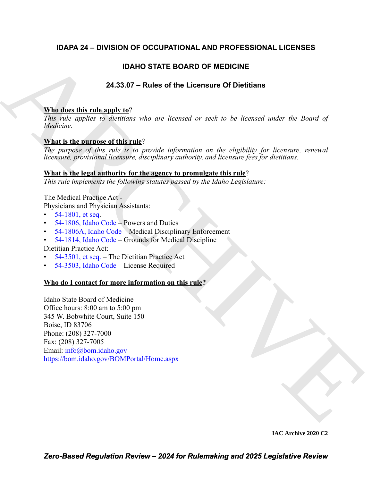## **IDAPA 24 – DIVISION OF OCCUPATIONAL AND PROFESSIONAL LICENSES**

## **IDAHO STATE BOARD OF MEDICINE**

## **24.33.07 – Rules of the Licensure Of Dietitians**

## **Who does this rule apply to**?

*This rule applies to dietitians who are licensed or seek to be licensed under the Board of Medicine.*

## **What is the purpose of this rule**?

*The purpose of this rule is to provide information on the eligibility for licensure, renewal licensure, provisional licensure, disciplinary authority, and licensure fees for dietitians.*

## **What is the legal authority for the agency to promulgate this rule**?

*This rule implements the following statutes passed by the Idaho Legislature:*

The Medical Practice Act -

Physicians and Physician Assistants:

- $54-1801$ , et seq.
- 54-1806, Idaho Code Powers and Duties
- 54-1806A, Idaho Code Medical Disciplinary Enforcement
- 54-1814, Idaho Code Grounds for Medical Discipline

Dietitian Practice Act:

- 54-3501, et seq. The Dietitian Practice Act
- 54-3503, Idaho Code License Required

## **Who do I contact for more information on this rule?**

IDAHO STATE BOARD OF MEDI[C](https://legislature.idaho.gov/statutesrules/idstat/Title54/T54CH18/SECT54-1806A/)INE<br>
24.33.07 - Rules of the Licensure Of Diottilans<br>
22.133.07 - Rules of the Licensed or seek to be licensed under the Board of<br>
2018: rule opplies to identicate<br>
22.12 Medicine.<br>
22.12 Medicin Idaho State Board of Medicine Office hours: 8:00 am to 5:00 pm 345 W. Bobwhite Court, Suite 150 Boise, ID 83706 Phone: (208) 327-7000 Fax: (208) 327-7005 Email: info@bom.idaho.gov https://bom.idaho.gov/BOMPortal/Home.aspx

**IAC Archive 2020 C2**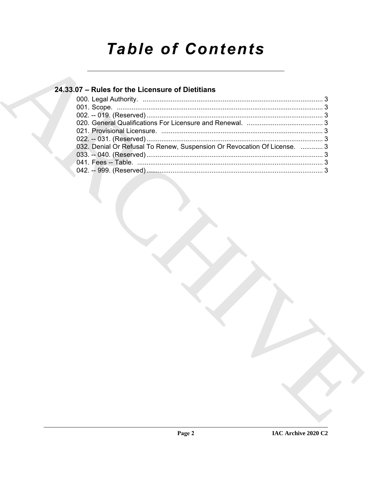# **Table of Contents**

## 24.33.07 - Rules for the Licensure of Dietitians

| 032. Denial Or Refusal To Renew, Suspension Or Revocation Of License.  3 |  |
|--------------------------------------------------------------------------|--|
|                                                                          |  |
|                                                                          |  |
|                                                                          |  |
|                                                                          |  |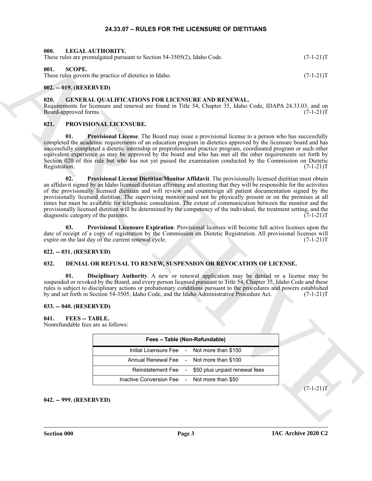#### **24.33.07 – RULES FOR THE LICENSURE OF DIETITIANS**

<span id="page-2-19"></span><span id="page-2-15"></span><span id="page-2-2"></span><span id="page-2-1"></span><span id="page-2-0"></span>

| 000.<br>LEGAL AUTHORITY.<br>These rules are promulgated pursuant to Section 54-3505(2), Idaho Code. | $(7-1-21)T$ |
|-----------------------------------------------------------------------------------------------------|-------------|
| 001.<br>SCOPE.<br>These rules govern the practice of dietetics in Idaho.                            | $(7-1-21)T$ |
| 002. -- 019. (RESERVED)                                                                             |             |

#### <span id="page-2-14"></span><span id="page-2-4"></span><span id="page-2-3"></span>**020. GENERAL QUALIFICATIONS FOR LICENSURE AND RENEWAL.**

Requirements for licensure and renewal are found in Title 54, Chapter 35, Idaho Code, IDAPA 24.33.03, and on Board-approved forms. (7-1-21)T

#### <span id="page-2-16"></span><span id="page-2-5"></span>**021. PROVISIONAL LICENSURE.**

<span id="page-2-18"></span><span id="page-2-17"></span>**01.** Provisional License. The Board may issue a provisional license to a person who has successfully completed the academic requirements of an education program in dietetics approved by the licensure board and has successfully completed a dietetic internship or preprofessional practice program, coordinated program or such other equivalent experience as may be approved by the board and who has met all the other requirements set forth by Section 020 of this rule but who has not yet passed the examination conducted by the Commission on Dietetic Registration. (7-1-21)T Registration. (7-1-21)T

Here shows promoted as the state of the state of the state of the state of the state of the state of the state of the state of the state of the state of the state of the state of the state of the state of the state of the **02. Provisional License Dietitian/Monitor Affidavit**. The provisionally licensed dietitian must obtain an affidavit signed by an Idaho licensed dietitian affirming and attesting that they will be responsible for the activities of the provisionally licensed dietitian and will review and countersign all patient documentation signed by the provisionally licensed dietitian. The supervising monitor need not be physically present or on the premises at all times but must be available for telephonic consultation. The extent of communication between the monitor and the provisionally licensed dietitian will be determined by the competency of the individual, the treatment setting, and the diagnostic category of the patients. (7-1-21)T

**03. Provisional Licensure Expiration**. Provisional licenses will become full active licenses upon the date of receipt of a copy of registration by the Commission on Dietetic Registration. All provisional licenses will expire on the last day of the current renewal cycle. (7-1-21) expire on the last day of the current renewal cycle.

#### <span id="page-2-6"></span>**022. -- 031. (RESERVED)**

#### <span id="page-2-11"></span><span id="page-2-7"></span>**032. DENIAL OR REFUSAL TO RENEW, SUSPENSION OR REVOCATION OF LICENSE.**

<span id="page-2-12"></span>**01. Disciplinary Authority**. A new or renewal application may be denied or a license may be suspended or revoked by the Board, and every person licensed pursuant to Title 54, Chapter 35, Idaho Code and these rules is subject to disciplinary actions or probationary conditions pursuant to the procedures and powers established by and set forth in Section 54-3505, Idaho Code, and the Idaho Administrative Procedure Act. (7-1-21)T

#### <span id="page-2-8"></span>**033. -- 040. (RESERVED)**

#### <span id="page-2-13"></span><span id="page-2-9"></span>**041. FEES -- TABLE.** Nonrefundable fees are as follows:

| Fees - Table (Non-Refundable)                |                                                   |  |  |
|----------------------------------------------|---------------------------------------------------|--|--|
|                                              | Initial Licensure Fee - Not more than \$150       |  |  |
|                                              | Annual Renewal Fee - Not more than \$100          |  |  |
|                                              | Reinstatement Fee - \$50 plus unpaid renewal fees |  |  |
| Inactive Conversion Fee - Not more than \$50 |                                                   |  |  |

 $(7-1-21)T$ 

<span id="page-2-10"></span>**042. -- 999. (RESERVED)**